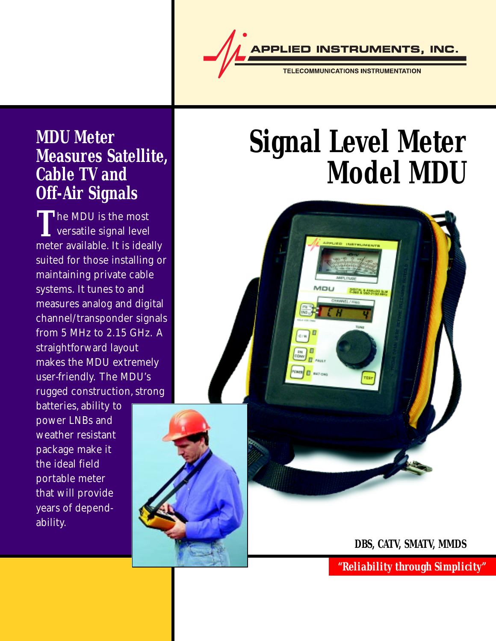

### **MDU Meter Measures Satellite, Cable TV and Off-Air Signals**

The MDU is the most<br>versatile signal level<br>moter available It is idea versatile signal level meter available. It is ideally suited for those installing or maintaining private cable systems. It tunes to and measures analog and digital channel/transponder signals from 5 MHz to 2.15 GHz. A straightforward layout makes the MDU extremely user-friendly. The MDU's rugged construction, strong

batteries, ability to power LNBs and weather resistant package make it the ideal field portable meter that will provide years of dependability.

# **Signal Level Meter Model MDU**



**DBS, CATV, SMATV, MMDS**

*"Reliability through Simplicity"*